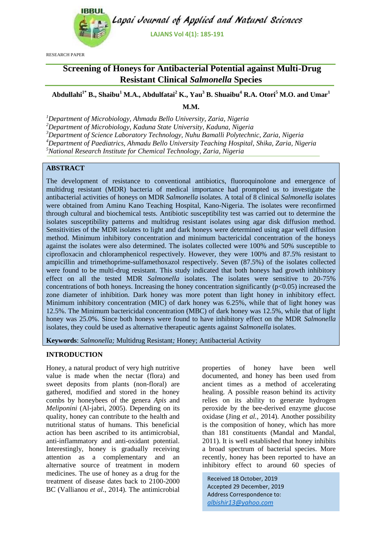

RESEARCH PAPER

## **Screening of Honeys for Antibacterial Potential against Multi-Drug Resistant Clinical** *Salmonella* **Species**

# **Abdullahi1\* B., Shaibu<sup>1</sup> M.A., Abdulfatai<sup>2</sup> K., Yau<sup>3</sup> B. Shuaibu<sup>4</sup> R.A. Otori<sup>5</sup> M.O. and Umar<sup>1</sup>**

**M.M.**

*<sup>1</sup>Department of Microbiology, Ahmadu Bello University, Zaria, Nigeria*

*<sup>2</sup>Department of Microbiology, Kaduna State University, Kaduna, Nigeria*

*<sup>3</sup>Department of Science Laboratory Technology, Nuhu Bamalli Polytechnic, Zaria, Nigeria*

*<sup>4</sup>Department of Paediatrics, Ahmadu Bello University Teaching Hospital, Shika, Zaria, Nigeria*

*<sup>5</sup>National Research Institute for Chemical Technology, Zaria, Nigeria*

### **ABSTRACT**

The development of resistance to conventional antibiotics, fluoroquinolone and emergence of multidrug resistant (MDR) bacteria of medical importance had prompted us to investigate the antibacterial activities of honeys on MDR *Salmonella* isolates. A total of 8 clinical *Salmonella* isolates were obtained from Aminu Kano Teaching Hospital, Kano-Nigeria. The isolates were reconfirmed through cultural and biochemical tests. Antibiotic susceptibility test was carried out to determine the isolates susceptibility patterns and multidrug resistant isolates using agar disk diffusion method. Sensitivities of the MDR isolates to light and dark honeys were determined using agar well diffusion method. Minimum inhibitory concentration and minimum bactericidal concentration of the honeys against the isolates were also determined. The isolates collected were 100% and 50% susceptible to ciprofloxacin and chloramphenicol respectively. However, they were 100% and 87.5% resistant to ampicillin and trimethoprime-sulfamethoxazol respectively. Seven (87.5%) of the isolates collected were found to be multi-drug resistant. This study indicated that both honeys had growth inhibitory effect on all the tested MDR *Salmonella* isolates. The isolates were sensitive to 20-75% concentrations of both honeys. Increasing the honey concentration significantly ( $p<0.05$ ) increased the zone diameter of inhibition. Dark honey was more potent than light honey in inhibitory effect. Minimum inhibitory concentration (MIC) of dark honey was 6.25%, while that of light honey was 12.5%. The Minimum bactericidal concentration (MBC) of dark honey was 12.5%, while that of light honey was 25.0%. Since both honeys were found to have inhibitory effect on the MDR *Salmonella*  isolates, they could be used as alternative therapeutic agents against *Salmonella* isolates.

**Keywords**: *Salmonella;* Multidrug Resistant*;* Honey; Antibacterial Activity

#### **INTRODUCTION**

Honey, a natural product of very high nutritive value is made when the nectar (flora) and sweet deposits from plants (non-floral) are gathered, modified and stored in the honey combs by honeybees of the genera *Apis* and *Meliponini* (Al-jabri, 2005). Depending on its quality, honey can contribute to the health and nutritional status of humans. This beneficial action has been ascribed to its antimicrobial, anti-inflammatory and anti-oxidant potential. Interestingly, honey is gradually receiving attention as a complementary and an alternative source of treatment in modern medicines. The use of honey as a drug for the treatment of disease dates back to 2100-2000 BC (Vallianou *et al*., 2014). The antimicrobial

properties of honey have been well documented, and honey has been used from ancient times as a method of accelerating healing. A possible reason behind its activity relies on its ability to generate hydrogen peroxide by the bee-derived enzyme glucose oxidase (Jing *et al.,* 2014). Another possibility is the composition of honey, which has more than 181 constituents (Mandal and Mandal, 2011). It is well established that honey inhibits a broad spectrum of bacterial species. More recently, honey has been reported to have an inhibitory effect to around 60 species of

Received 18 October, 2019 Accepted 29 December, 2019 Address Correspondence to: *albishir13@yahoo.com*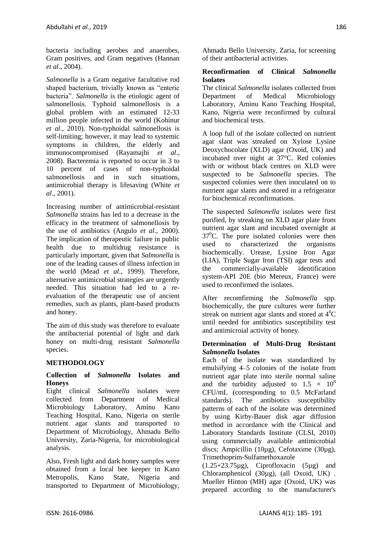bacteria including aerobes and anaerobes, Gram positives, and Gram negatives (Hannan *et al*., 2004).

*Salmonella* is a Gram negative facultative rod shaped bacterium, trivially known as "enteric bacteria". *Salmonella* is the etiologic agent of salmonellosis. Typhoid salmonellosis is a global problem with an estimated 12-33 million people infected in the world (Kohinur *et al*., 2010). Non-typhoidal salmonellosis is self-limiting; however, it may lead to systemic symptoms in children, the elderly and immunocompromised (Rayamajhi *et al*., 2008). Bacteremia is reported to occur in 3 to 10 percent of cases of non-typhoidal salmonellosis and in such situations, antimicrobial therapy is lifesaving (White *et al*., 2001).

Increasing number of antimicrobial-resistant *Salmonella* strains has led to a decrease in the efficacy in the treatment of salmonellosis by the use of antibiotics (Angulo *et al*., 2000). The implication of therapeutic failure in public health due to multidrug resistance is particularly important, given that *Salmonella* is one of the leading causes of illness infection in the world (Mead *et al*., 1999). Therefore, alternative antimicrobial strategies are urgently needed. This situation had led to a reevaluation of the therapeutic use of ancient remedies, such as plants, plant-based products and honey.

The aim of this study was therefore to evaluate the antibacterial potential of light and dark honey on multi-drug resistant *Salmonella*  species.

#### **METHODOLOGY**

#### **Collection of** *Salmonella* **Isolates and Honeys**

Eight clinical *Salmonella* isolates were collected from Department of Medical Microbiology Laboratory, Aminu Kano Teaching Hospital, Kano, Nigeria on sterile nutrient agar slants and transported to Department of Microbiology, Ahmadu Bello University, Zaria-Nigeria, for microbiological analysis.

Also, Fresh light and dark honey samples were obtained from a local bee keeper in Kano Metropolis, Kano State, Nigeria and transported to Department of Microbiology,

Ahmadu Bello University, Zaria, for screening of their antibacterial activities.

#### **Reconfirmation of Clinical** *Salmonella*  **Isolates**

The clinical *Salmonella* isolates collected from Department of Medical Microbiology Laboratory, Aminu Kano Teaching Hospital, Kano, Nigeria were reconfirmed by cultural and biochemical tests.

A loop full of the isolate collected on nutrient agar slant was streaked on Xylose Lysine Deoxychocolate (XLD) agar (Oxoid, UK) and incubated over night at 37°C. Red colonies with or without black centres on XLD were suspected to be *Salmonella* species. The suspected colonies were then inoculated on to nutrient agar slants and stored in a refrigerator for biochemical reconfirmations.

The suspected *Salmonella* isolates were first purified, by streaking on XLD agar plate from nutrient agar slant and incubated overnight at  $37^{\circ}$ C. The pure isolated colonies were then used to characterized the organisms biochemically. Urease, Lysine Iron Agar (LIA), Triple Sugar Iron (TSI) agar tests and the commercially-available identification system-API 20E (bio Mereux, France) were used to reconfirmed the isolates.

After recomfirming the *Salmonella* spp. biochemically, the pure cultures were further streak on nutrient agar slants and stored at  $4^0C$ until needed for antibiotics susceptibility test and antimicroial activity of honey.

#### **Determination of Multi-Drug Resistant**  *Salmonella* **Isolates**

Each of the isolate was standardized by emulsifying 4–5 colonies of the isolate from nutrient agar plate into sterile normal saline and the turbidity adjusted to  $1.5 \times 10^8$ CFU/mL (corresponding to 0.5 McFarland standards). The antibiotics susceptibility patterns of each of the isolate was determined by using Kirby-Bauer disk agar diffusion method in accordance with the Clinical and Laboratory Standards Institute (CLSI, 2010) using commercially available antimicrobial discs; Ampicillin (10µg), Cefotaxime (30µg), Trimethoprim-Sulfamethoxazole

 $(1.25+23.75\mu g)$ , Ciprofloxacin  $(5\mu g)$  and Chloramphenicol (30µg), (all Oxoid, UK) . Mueller Hinton (MH) agar (Oxoid, UK) was prepared according to the manufacturer's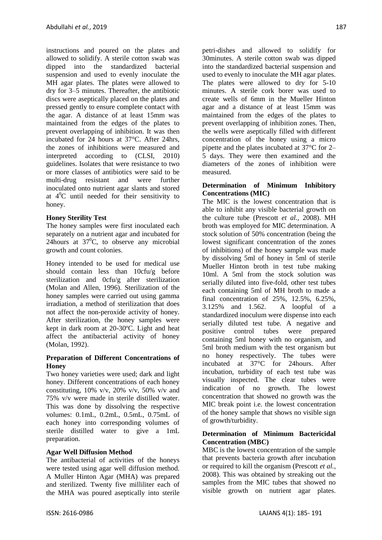instructions and poured on the plates and allowed to solidify. A sterile cotton swab was dipped into the standardized bacterial suspension and used to evenly inoculate the MH agar plates. The plates were allowed to dry for 3–5 minutes. Thereafter, the antibiotic discs were aseptically placed on the plates and pressed gently to ensure complete contact with the agar. A distance of at least 15mm was maintained from the edges of the plates to prevent overlapping of inhibition. It was then incubated for 24 hours at 37°C. After 24hrs, the zones of inhibitions were measured and interpreted according to (CLSI, 2010) guidelines. Isolates that were resistance to two or more classes of antibiotics were said to be multi-drug resistant and were further inoculated onto nutrient agar slants and stored at  $4^{\circ}$ C until needed for their sensitivity to honey.

#### **Honey Sterility Test**

The honey samples were first inoculated each separately on a nutrient agar and incubated for 24hours at  $37^{\circ}$ C, to observe any microbial growth and count colonies.

Honey intended to be used for medical use should contain less than 10cfu/g before sterilization and 0cfu/g after sterilization (Molan and Allen, 1996). Sterilization of the honey samples were carried out using gamma irradiation, a method of sterilization that does not affect the non-peroxide activity of honey. After sterilization, the honey samples were kept in dark room at 20-30ºC. Light and heat affect the antibacterial activity of honey (Molan, 1992).

#### **Preparation of Different Concentrations of Honey**

Two honey varieties were used; dark and light honey. Different concentrations of each honey constituting,  $10\%$  v/v,  $20\%$  v/v,  $50\%$  v/v and 75% v/v were made in sterile distilled water. This was done by dissolving the respective volumes: 0.1mL, 0.2mL, 0.5mL, 0.75mL of each honey into corresponding volumes of sterile distilled water to give a 1mL preparation.

#### **Agar Well Diffusion Method**

The antibacterial of activities of the honeys were tested using agar well diffusion method. A Muller Hinton Agar (MHA) was prepared and sterilized. Twenty five milliliter each of the MHA was poured aseptically into sterile

petri-dishes and allowed to solidify for 30minutes. A sterile cotton swab was dipped into the standardized bacterial suspension and used to evenly to inoculate the MH agar plates. The plates were allowed to dry for 5-10 minutes. A sterile cork borer was used to create wells of 6mm in the Mueller Hinton agar and a distance of at least 15mm was maintained from the edges of the plates to prevent overlapping of inhibition zones. Then, the wells were aseptically filled with different concentration of the honey using a micro pipette and the plates incubated at 37°C for 2– 5 days. They were then examined and the diameters of the zones of inhibition were measured.

#### **Determination of Minimum Inhibitory Concentrations (MIC)**

The MIC is the lowest concentration that is able to inhibit any visible bacterial growth on the culture tube (Prescott *et al.,* 2008). MH broth was employed for MIC determination. A stock solution of 50% concentration (being the lowest significant concentration of the zones of inhibitions) of the honey sample was made by dissolving 5ml of honey in 5ml of sterile Mueller Hinton broth in test tube making 10ml. A 5ml from the stock solution was serially diluted into five-fold, other test tubes each containing 5ml of MH broth to made a final concentration of 25%, 12.5%, 6.25%, 3.125% and 1.562. A loopful of a standardized inoculum were dispense into each serially diluted test tube. A negative and positive control tubes were prepared containing 5ml honey with no organism, and 5ml broth medium with the test organism but no honey respectively. The tubes were incubated at 37°C for 24hours. After incubation, turbidity of each test tube was visually inspected. The clear tubes were indication of no growth. The lowest concentration that showed no growth was the MIC break point i.e. the lowest concentration of the honey sample that shows no visible sign of growth/turbidity.

#### **Determination of Minimum Bactericidal Concentration (MBC)**

MBC is the lowest concentration of the sample that prevents bacteria growth after incubation or required to kill the organism (Prescott *et al.,*  2008). This was obtained by streaking out the samples from the MIC tubes that showed no visible growth on nutrient agar plates.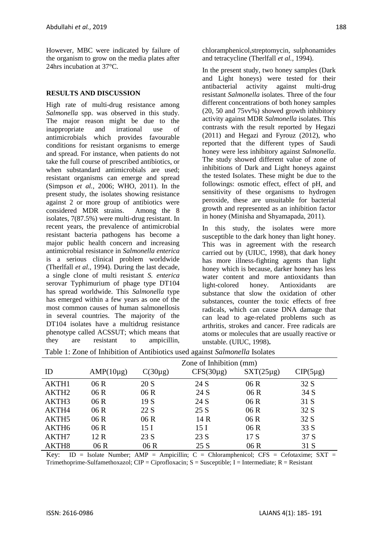However, MBC were indicated by failure of the organism to grow on the media plates after 24hrs incubation at 37°C.

#### **RESULTS AND DISCUSSION**

High rate of multi-drug resistance among *Salmonella* spp. was observed in this study. The major reason might be due to the inappropriate and irrational use of antimicrobials which provides favourable conditions for resistant organisms to emerge and spread. For instance, when patients do not take the full course of prescribed antibiotics, or when substandard antimicrobials are used; resistant organisms can emerge and spread (Simpson *et al.,* 2006; WHO, 2011). In the present study, the isolates showing resistance against 2 or more group of antibiotics were considered MDR strains. Among the 8 isolates, 7(87.5%) were multi-drug resistant. In recent years, the prevalence of antimicrobial resistant bacteria pathogens has become a major public health concern and increasing antimicrobial resistance in *Salmonella enterica*  is a serious clinical problem worldwide (Therlfall *et al.,* 1994). During the last decade, a single clone of multi resistant *S. enterica*  serovar Typhimurium of phage type DT104 has spread worldwide. This *Salmonella* type has emerged within a few years as one of the most common causes of human salmonellosis in several countries. The majority of the DT104 isolates have a multidrug resistance phenotype called ACSSUT; which means that they are resistant to ampicillin,

chloramphenicol,streptomycin, sulphonamides and tetracycline (Therlfall *et al.,* 1994).

In the present study, two honey samples (Dark and Light honeys) were tested for their antibacterial activity against multi-drug resistant *Salmonella* isolates. Three of the four different concentrations of both honey samples (20, 50 and 75vv%) showed growth inhibitory activity against MDR *Salmonella* isolates. This contrasts with the result reported by Hegazi (2011) and Hegazi and Fyrouz (2012), who reported that the different types of Saudi honey were less inhibitory against *Salmonella*. The study showed different value of zone of inhibitions of Dark and Light honeys against the tested Isolates. These might be due to the followings: osmotic effect, effect of pH, and sensitivity of these organisms to hydrogen peroxide, these are unsuitable for bacterial growth and represented as an inhibition factor in honey (Minisha and Shyamapada, 2011).

In this study, the isolates were more susceptible to the dark honey than light honey. This was in agreement with the research carried out by (UIUC, 1998), that dark honey has more illness-fighting agents than light honey which is because, darker honey has less water content and more antioxidants than light-colored honey. Antioxidants are substance that slow the oxidation of other substances, counter the toxic effects of free radicals, which can cause DNA damage that can lead to age-related problems such as arthritis, strokes and cancer. Free radicals are atoms or molecules that are usually reactive or unstable. (UIUC, 1998)**.**

|                   | Zone of Inhibition (mm) |                 |                 |                |               |
|-------------------|-------------------------|-----------------|-----------------|----------------|---------------|
| ID                | $AMP(10\mu g)$          | $C(30\mu g)$    | $CFS(30\mu g)$  | $SXT(25\mu g)$ | $CIP(5\mu g)$ |
| AKTH1             | 06 R                    | 20 S            | 24 S            | 06R            | 32 S          |
| AKTH <sub>2</sub> | 06R                     | 06R             | 24 S            | 06R            | 34 S          |
| AKTH3             | 06R                     | 19S             | 24 S            | 06R            | 31 S          |
| AKTH4             | 06 R                    | 22 S            | 25 S            | 06R            | 32 S          |
| AKTH <sub>5</sub> | 06 R                    | 06R             | 14 R            | 06R            | 32 S          |
| AKTH6             | 06 R                    | 15 <sub>I</sub> | 15 <sub>I</sub> | 06R            | 33 S          |
| AKTH7             | 12 R                    | 23 S            | 23 S            | 17S            | 37 S          |
| AKTH <sub>8</sub> | 06 R                    | 06 R            | 25 S            | 06 R           | 31 S          |

Table 1: Zone of Inhibition of Antibiotics used against *Salmonella* Isolates

Key: ID = Isolate Number; AMP = Ampicillin; C = Chloramphenicol; CFS = Cefotaxime; SXT = Trimethoprime-Sulfamethoxazol; CIP = Ciprofloxacin;  $S =$  Susceptible; I = Intermediate;  $R =$  Resistant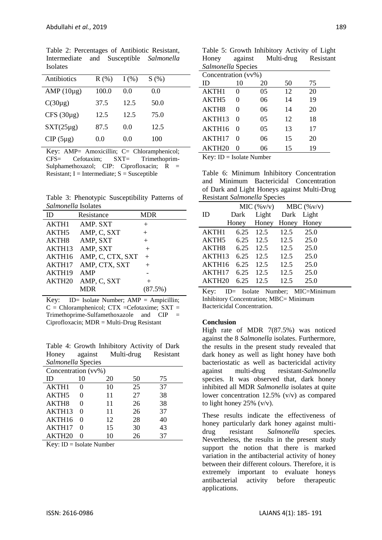| Antibiotics     | R(% ) | $I($ %) | S(%) |
|-----------------|-------|---------|------|
| AMP $(10\mu$ g) | 100.0 | 0.0     | 0.0  |
| $C(30\mu g)$    | 37.5  | 12.5    | 50.0 |
| $CFS(30\mu g)$  | 12.5  | 12.5    | 75.0 |
| $SXT(25\mu g)$  | 87.5  | 0.0     | 12.5 |
| $CIP(5\mu g)$   | 0.0   | (0.0)   | 100  |

Table 2: Percentages of Antibiotic Resistant, Intermediate and Susceptible *Salmonella*  Isolates

Key: AMP= Amoxicillin; C= Chloramphenicol;<br>CFS= Cefotaxim; SXT= Trimethonrim- $Cefotaxim:$   $SXT=$  Trimethoprim-Sulphamethoxazol; CIP: Ciprofloxacin;  $\overline{R}$  = Resistant;  $I = Intermediate$ ;  $S = Susceptible$ 

Table 3: Phenotypic Susceptibility Patterns of *Salmonella* Isolates

| samonena isonico   |                  |            |  |  |  |
|--------------------|------------------|------------|--|--|--|
| ID                 | Resistance       | <b>MDR</b> |  |  |  |
| AKTH1              | AMP. SXT         | $^{+}$     |  |  |  |
| AKTH5              | AMP, C, SXT      | $^{+}$     |  |  |  |
| AKTH8              | AMP, SXT         | $^{+}$     |  |  |  |
| AKTH <sub>13</sub> | AMP, SXT         | $+$        |  |  |  |
| AKTH16             | AMP, C, CTX, SXT | $^{+}$     |  |  |  |
| AKTH17             | AMP, CTX, SXT    | $+$        |  |  |  |
| AKTH <sub>19</sub> | AMP              |            |  |  |  |
| AKTH <sub>20</sub> | AMP, C, SXT      | $^{+}$     |  |  |  |
|                    | MDR              | (87.5%)    |  |  |  |
|                    |                  |            |  |  |  |

Key: ID= Isolate Number;  $AMP = Ampicillin;$  $C =$  Chloramphenicol; CTX = Cefotaxime; SXT = Trimethoprime-Sulfamethoxazole and CIP = Ciprofloxacin; MDR = Multi-Drug Resistant

Table 4: Growth Inhibitory Activity of Dark Honey against Multi-drug Resistant *Salmonella* Species

| Concentration (vv%) |                   |    |    |    |  |
|---------------------|-------------------|----|----|----|--|
| ID                  | 10                | 20 | 50 | 75 |  |
| AKTH1               |                   | 10 | 25 | 37 |  |
| AKTH5               |                   | 11 | 27 | 38 |  |
| AKTH8               | 0                 | 11 | 26 | 38 |  |
| AKTH13              | $\mathbf{\Omega}$ | 11 | 26 | 37 |  |
| AKTH16              | $\mathbf{\Omega}$ | 12 | 28 | 40 |  |
| AKTH17              | 0                 | 15 | 30 | 43 |  |
| AKTH <sub>20</sub>  |                   | 10 | 26 | 37 |  |

Key: ID = Isolate Number

|                    | Table 5: Growth Inhibitory Activity of Light |           |
|--------------------|----------------------------------------------|-----------|
| Honey against      | Multi-drug                                   | Resistant |
| Salmonella Species |                                              |           |
|                    |                                              |           |

| Concentration (vv%) |                   |    |    |    |  |
|---------------------|-------------------|----|----|----|--|
| ID                  | 10                | 20 | 50 | 75 |  |
| AKTH1               |                   | 05 | 12 | 20 |  |
| AKTH <sub>5</sub>   |                   | 06 | 14 | 19 |  |
| AKTH <sub>8</sub>   |                   | 06 | 14 | 20 |  |
| AKTH <sub>13</sub>  |                   | 05 | 12 | 18 |  |
| AKTH16              | $\mathbf{\Omega}$ | 05 | 13 | 17 |  |
| AKTH17              |                   | 06 | 15 | 20 |  |
| AKTH20              |                   | 06 | 15 | 19 |  |

Key: ID = Isolate Number

Table 6: Minimum Inhibitory Concentration and Minimum Bactericidal Concentration of Dark and Light Honeys against Multi-Drug Resistant *Salmonella* Species

|                    |      |                         | MIC $(\%v/v)$ MBC $(\%v/v)$ |       |  |
|--------------------|------|-------------------------|-----------------------------|-------|--|
| ID                 | Dark |                         | Light Dark                  | Light |  |
|                    |      | Honey Honey Honey Honey |                             |       |  |
| AKTH1              | 6.25 | 12.5                    | 12.5                        | 25.0  |  |
| AKTH <sub>5</sub>  | 6.25 | 12.5                    | 12.5                        | 25.0  |  |
| AKTH <sub>8</sub>  | 6.25 | 12.5                    | 12.5                        | 25.0  |  |
| AKTH <sub>13</sub> | 6.25 | 12.5                    | 12.5                        | 25.0  |  |
| AKTH16             | 6.25 | 12.5                    | 12.5                        | 25.0  |  |
| AKTH <sub>17</sub> | 6.25 | 12.5                    | 12.5                        | 25.0  |  |
| AKTH <sub>20</sub> | 6.25 | 12.5                    | 12.5                        | 25.0  |  |

Key: ID= Isolate Number; MIC=Minimum Inhibitory Concentration; MBC= Minimum Bactericidal Concentration.

#### **Conclusion**

High rate of MDR 7(87.5%) was noticed against the 8 *Salmonella* isolates. Furthermore, the results in the present study revealed that dark honey as well as light honey have both bacteriostatic as well as bactericidal activity against multi-drug resistant-*Salmonella*  species*.* It was observed that, dark honey inhibited all MDR *Salmonella* isolates at quite lower concentration 12.5% (v/v) as compared to light honey  $25\%$  (v/v).

These results indicate the effectiveness of honey particularly dark honey against multidrug resistant *Salmonella* species*.* Nevertheless, the results in the present study support the notion that there is marked variation in the antibacterial activity of honey between their different colours. Therefore, it is extremely important to evaluate honeys antibacterial activity before therapeutic applications.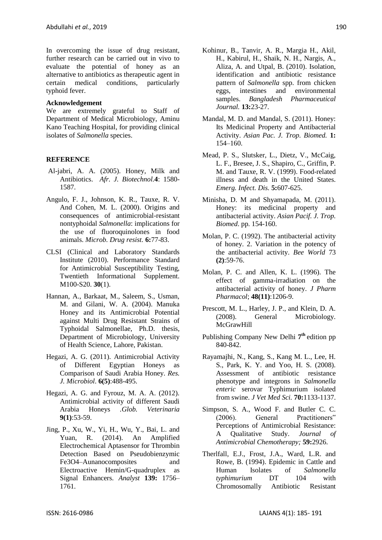In overcoming the issue of drug resistant, further research can be carried out in vivo to evaluate the potential of honey as an alternative to antibiotics as therapeutic agent in certain medical conditions, particularly typhoid fever.

#### **Acknowledgement**

We are extremely grateful to Staff of Department of Medical Microbiology, Aminu Kano Teaching Hospital, for providing clinical isolates of *Salmonella* species.

#### **REFERENCE**

- Al-jabri, A. A. (2005). Honey, Milk and Antibiotics. *Afr. J. Biotechnol.***4**: 1580- 1587.
- Angulo, F. J., Johnson, K. R., Tauxe, R. V. And Cohen, M. L. (2000). Origins and consequences of antimicrobial-resistant nontyphoidal *Salmonella*: implications for the use of fluoroquinolones in food animals. *Microb. Drug resist.* **6:**77-83.
- CLSI (Clinical and Laboratory Standards Institute (2010). Performance Standard for Antimicrobial Susceptibility Testing, Twentieth Informational Supplement. M100-S20. **30**(1).
- Hannan, A., Barkaat, M., Saleem, S., Usman, M. and Gilani, W. A. (2004). Manuka Honey and its Antimicrobial Potential against Multi Drug Resistant Strains of Typhoidal Salmonellae, Ph.D. thesis, Department of Microbiology, University of Health Science, Lahore, Pakistan.
- Hegazi, A. G. (2011). Antimicrobial Activity of Different Egyptian Honeys as Comparison of Saudi Arabia Honey. *Res. J. Microbiol*. **6(5)**:488-495.
- Hegazi, A. G. and Fyrouz, M. A. A. (2012). Antimicrobial activity of different Saudi Arabia Honeys *.Glob. Veterinaria* **9(1)**:53-59.
- Jing, P., Xu, W., Yi, H., Wu, Y., Bai, L. and Yuan, R. (2014). An Amplified Electrochemical Aptasensor for Thrombin Detection Based on Pseudobienzymic Fe3O4–Aunanocomposites and Electroactive Hemin/G-quadruplex as Signal Enhancers. *Analyst* **139:** 1756– 1761.
- Kohinur, B., Tanvir, A. R., Margia H., Akil, H., Kabirul, H., Shaik, N. H., Nargis, A., Aliza, A. and Utpal, B. (2010). Isolation, identification and antibiotic resistance pattern of *Salmonella* spp. from chicken eggs, intestines and environmental samples. *Bangladesh Pharmaceutical Journal.* **13:**23-27.
- Mandal, M. D. and Mandal, S. (2011). Honey: Its Medicinal Property and Antibacterial Activity. *Asian Pac. J. Trop. Biomed.* **1:** 154–160.
- Mead, P. S., Slutsker, L., Dietz, V., McCaig, L. F., Bresee, J. S., Shapiro, C., Griffin, P. M. and Tauxe, R. V. (1999). Food-related illness and death in the United States. *Emerg. Infect. Dis.* **5:**607-625.
- Minisha, D. M and Shyamapada, M. (2011). Honey: its medicinal property and antibacterial activity. *Asian Pacif. J. Trop. Biomed*. pp. 154-160.
- Molan, P. C. (1992). The antibacterial activity of honey. 2. Variation in the potency of the antibacterial activity. *Bee World* 73 **(2)**:59-76.
- Molan, P. C. and Allen, K. L. (1996). The effect of gamma-irradiation on the antibacterial activity of honey. *J Pharm Pharmacol*; **48(11)**:1206-9.
- Prescott, M. L., Harley, J. P., and Klein, D. A. (2008). General Microbiology. McGrawHill
- Publishing Company New Delhi **7 th** edition pp 840-842.
- Rayamajhi, N., Kang, S., Kang M. L., Lee, H. S., Park, K. Y. and Yoo, H. S. (2008). Assessment of antibiotic resistance phenotype and integrons in *Salmonella enteric* serovar Typhimurium isolated from swine. *J Vet Med Sci.* **70:**1133-1137.
- Simpson, S. A., Wood F. and Butler C. C. (2006). General Practitioners" Perceptions of Antimicrobial Resistance: A Qualitative Study. *Journal of Antimicrobial Chemotherapy;* **59:**2926.
- Therlfall, E.J., Frost, J.A., Ward, L.R. and Rowe, B. (1994). Epidemic in Cattle and Human Isolates of *Salmonella typhimurium* DT 104 with Chromosomally Antibiotic Resistant